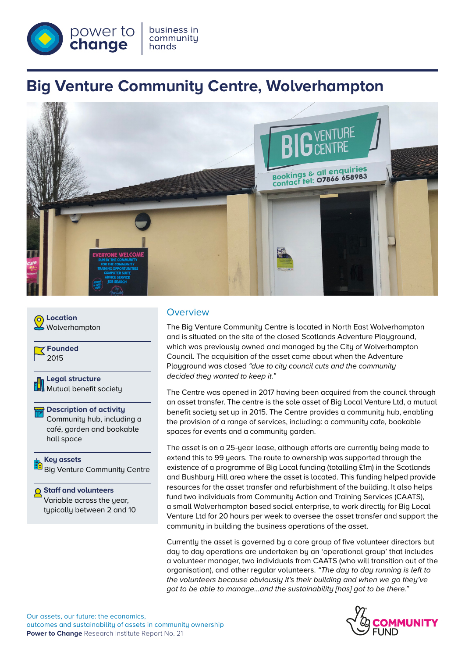

# **Big Venture Community Centre, Wolverhampton**





Big Venture Community Centre

**Staff and volunteers** Variable across the year, typically between 2 and 10

## **Overview**

The Big Venture Community Centre is located in North East Wolverhampton and is situated on the site of the closed Scotlands Adventure Playground, which was previously owned and managed by the City of Wolverhampton Council. The acquisition of the asset came about when the Adventure Playground was closed *"due to city council cuts and the community decided they wanted to keep it."* 

The Centre was opened in 2017 having been acquired from the council through an asset transfer. The centre is the sole asset of Big Local Venture Ltd, a mutual benefit society set up in 2015. The Centre provides a community hub, enabling the provision of a range of services, including: a community cafe, bookable spaces for events and a community garden.

The asset is on a 25-year lease, although efforts are currently being made to extend this to 99 years. The route to ownership was supported through the existence of a programme of Big Local funding (totalling £1m) in the Scotlands and Bushbury Hill area where the asset is located. This funding helped provide resources for the asset transfer and refurbishment of the building. It also helps fund two individuals from Community Action and Training Services (CAATS), a small Wolverhampton based social enterprise, to work directly for Big Local Venture Ltd for 20 hours per week to oversee the asset transfer and support the community in building the business operations of the asset.

Currently the asset is governed by a core group of five volunteer directors but day to day operations are undertaken by an 'operational group' that includes a volunteer manager, two individuals from CAATS (who will transition out of the organisation), and other regular volunteers. *"The day to day running is left to the volunteers because obviously it's their building and when we go they've got to be able to manage…and the sustainability [has] got to be there."* 

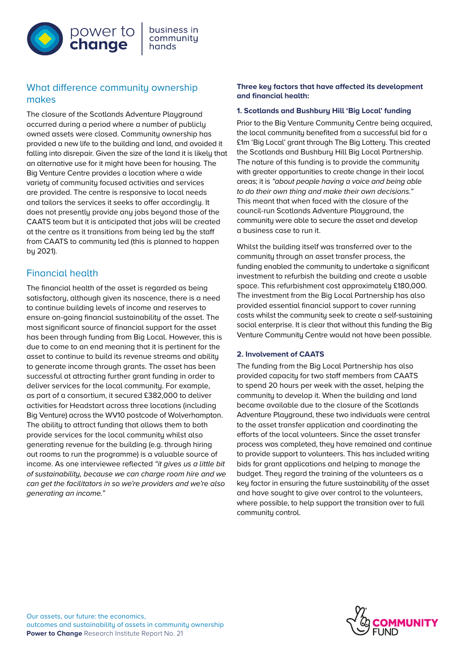

# What difference community ownership makes

The closure of the Scotlands Adventure Playground occurred during a period where a number of publicly owned assets were closed. Community ownership has provided a new life to the building and land, and avoided it falling into disrepair. Given the size of the land it is likely that an alternative use for it might have been for housing. The Big Venture Centre provides a location where a wide variety of community focused activities and services are provided. The centre is responsive to local needs and tailors the services it seeks to offer accordingly. It does not presently provide any jobs beyond those of the CAATS team but it is anticipated that jobs will be created at the centre as it transitions from being led by the staff from CAATS to community led (this is planned to happen by 2021).

# Financial health

The financial health of the asset is regarded as being satisfactory, although given its nascence, there is a need to continue building levels of income and reserves to ensure on-going financial sustainability of the asset. The most significant source of financial support for the asset has been through funding from Big Local. However, this is due to come to an end meaning that it is pertinent for the asset to continue to build its revenue streams and ability to generate income through grants. The asset has been successful at attracting further grant funding in order to deliver services for the local community. For example, as part of a consortium, it secured £382,000 to deliver activities for Headstart across three locations (including Big Venture) across the WV10 postcode of Wolverhampton. The ability to attract funding that allows them to both provide services for the local community whilst also generating revenue for the building (e.g. through hiring out rooms to run the programme) is a valuable source of income. As one interviewee reflected *"it gives us a little bit of sustainability, because we can charge room hire and we can get the facilitators in so we're providers and we're also generating an income."*

#### **Three key factors that have affected its development and financial health:**

#### **1. Scotlands and Bushbury Hill 'Big Local' funding**

Prior to the Big Venture Community Centre being acquired, the local community benefited from a successful bid for a £1m 'Big Local' grant through The Big Lottery. This created the Scotlands and Bushbury Hill Big Local Partnership. The nature of this funding is to provide the community with greater opportunities to create change in their local areas; it is *"about people having a voice and being able to do their own thing and make their own decisions."* This meant that when faced with the closure of the council-run Scotlands Adventure Playground, the community were able to secure the asset and develop a business case to run it.

Whilst the building itself was transferred over to the community through an asset transfer process, the funding enabled the community to undertake a significant investment to refurbish the building and create a usable space. This refurbishment cost approximately £180,000. The investment from the Big Local Partnership has also provided essential financial support to cover running costs whilst the community seek to create a self-sustaining social enterprise. It is clear that without this funding the Big Venture Community Centre would not have been possible.

#### **2. Involvement of CAATS**

The funding from the Big Local Partnership has also provided capacity for two staff members from CAATS to spend 20 hours per week with the asset, helping the community to develop it. When the building and land became available due to the closure of the Scotlands Adventure Playground, these two individuals were central to the asset transfer application and coordinating the efforts of the local volunteers. Since the asset transfer process was completed, they have remained and continue to provide support to volunteers. This has included writing bids for grant applications and helping to manage the budget. They regard the training of the volunteers as a key factor in ensuring the future sustainability of the asset and have sought to give over control to the volunteers, where possible, to help support the transition over to full community control.